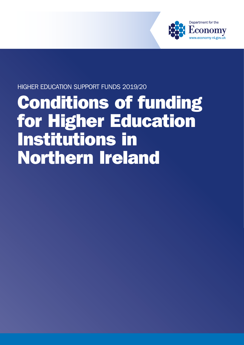

### HIGHER EDUCATION SUPPORT FUNDS 2019/20

# Conditions of funding for Higher Education Institutions in Northern Ireland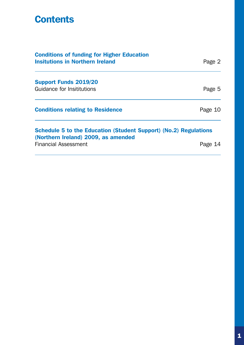### **Contents**

| <b>Conditions of funding for Higher Education</b><br><b>Insitutions in Northern Ireland</b>             | Page 2  |
|---------------------------------------------------------------------------------------------------------|---------|
| <b>Support Funds 2019/20</b>                                                                            |         |
| Guidance for Insititutions                                                                              | Page 5  |
| <b>Conditions relating to Residence</b>                                                                 | Page 10 |
| Schedule 5 to the Education (Student Support) (No.2) Regulations<br>(Northern Ireland) 2009, as amended |         |
| <b>Financial Assessment</b>                                                                             | Page    |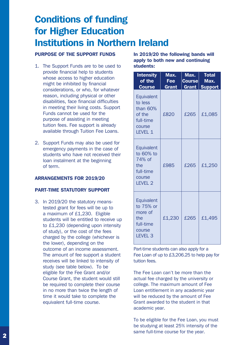## Conditions of funding for Higher Education Institutions in Northern Ireland

#### PURPOSE OF THE SUPPORT FUNDS

- 1. The Support Funds are to be used to provide financial help to students whose access to higher education might be inhibited by financial considerations, or who, for whatever reason, including physical or other disabilities, face financial difficulties in meeting their living costs. Support Funds cannot be used for the purpose of assisting in meeting tuition fees. Fee support is already available through Tuition Fee Loans.
- 2. Support Funds may also be used for emergency payments in the case of students who have not received their loan instalment at the beginning of term.

#### ARRANGEMENTS FOR 2019/20

#### PART-TIME STATUTORY SUPPORT

3. In 2019/20 the statutory meanstested grant for fees will be up to a maximum of £1,230. Eligible students will be entitled to receive up to £1,230 (depending upon intensity of study), or the cost of the fees charged by the college (whichever is the lower), depending on the outcome of an income assessment. The amount of fee support a student receives will be linked to intensity of study (see table below). To be eligible for the Fee Grant and/or Course Grant, the student would still be required to complete their course in no more than twice the length of time it would take to complete the equivalent full-time course.

In 2019/20 the following bands will apply to both new and continuing students:

| <b>Intensity</b><br>of the<br><b>Course</b>                                           | Max.<br><b>Fee</b><br>Grant | Max.<br><b>Course</b><br><b>Grant</b> | <b>Total</b><br>Max.<br><b>Support</b> |
|---------------------------------------------------------------------------------------|-----------------------------|---------------------------------------|----------------------------------------|
| Equivalent<br>to less<br>than 60%<br>of the<br>full-time<br>course<br>LEVEL 1         | £820                        | £265                                  | £1,085                                 |
| Equivalent<br>to 60% to<br>74% of<br>the<br>full-time<br>course<br>LEVEL <sub>2</sub> | £985                        | £265                                  | £1,250                                 |
| Equivalent<br>to 75% or<br>more of<br>the<br>full-time<br>course<br><b>LEVEL 3</b>    | £1,230                      | £265                                  | £1,495                                 |

Part-time students can also apply for a Fee Loan of up to £3,206.25 to help pay for tuition fees.

The Fee Loan can't be more than the actual fee charged by the university or college. The maximum amount of Fee Loan entitlement in any academic year will be reduced by the amount of Fee Grant awarded to the student in that academic year.

To be eligible for the Fee Loan, you must be studying at least 25% intensity of the same full-time course for the year.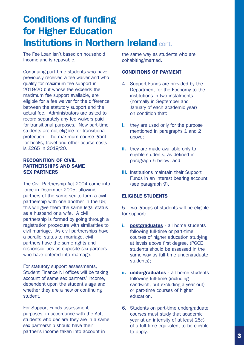### Conditions of funding for Higher Education **Institutions in Northern Ireland cont.**

The Fee Loan isn't based on household income and is repayable.

Continuing part-time students who have previously received a fee waiver and who qualify for maximum fee support in 2019/20 but whose fee exceeds the maximum fee support available, are eligible for a fee waiver for the difference between the statutory support and the actual fee. Administrators are asked to record separately any fee waivers paid for transitional purposes. New part-time students are not eligible for transitional protection. The maximum course grant for books, travel and other course costs is £265 in 2019/20.

#### RECOGNITION OF CIVIL PARTNERSHIPS AND SAME SEX PARTNERS

The Civil Partnership Act 2004 came into force in December 2005, allowing partners of the same sex to form a civil partnership with one another in the UK; this will give them the same legal status as a husband or a wife. A civil partnership is formed by going through a registration procedure with similarities to civil marriage. As civil partnerships have a parallel status to marriage, civil partners have the same rights and responsibilities as opposite sex partners who have entered into marriage.

For statutory support assessments, Student Finance NI offices will be taking account of same sex partners' income, dependent upon the student's age and whether they are a new or continuing student.

For Support Funds assessment purposes, in accordance with the Act, students who declare they are in a same sex partnership should have their partner's income taken into account in

the same way as students who are cohabiting/married.

#### CONDITIONS OF PAYMENT

- 4. Support Funds are provided by the Department for the Economy to the institutions in two instalments (normally in September and January of each academic year) on condition that:
- i. they are used only for the purpose mentioned in paragraphs 1 and 2 above;
- ii. they are made available only to eligible students, as defined in paragraph 5 below; and
- **iii.** institutions maintain their Support Funds in an interest bearing account (see paragraph 9).

#### ELIGIBLE STUDENTS

5. Two groups of students will be eligible for support:

- i. **postgraduates** all home students following full-time or part-time courses of higher education studying at levels above first degree, (PGCE students should be assessed in the same way as full-time undergraduate students);
- ii. undergraduates all home students following full-time (including sandwich, but excluding a year out) or part-time courses of higher education.
- 6. Students on part-time undergraduate courses must study that academic year at an intensity of at least 25% of a full-time equivalent to be eligible to apply.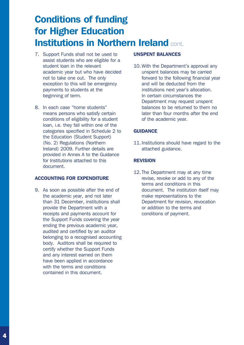### Conditions of funding for Higher Education Institutions in Northern Ireland cont.

- 7. Support Funds shall not be used to assist students who are eligible for a student loan in the relevant academic year but who have decided not to take one out. The only exception to this will be emergency payments to students at the beginning of term.
- 8. In each case "home students" means persons who satisfy certain conditions of eligibility for a student loan, i.e. they fall within one of the categories specified in Schedule 2 to the Education (Student Support) (No. 2) Regulations (Northern Ireland) 2009. Further details are provided in Annex A to the Guidance for Institutions attached to this document.

#### ACCOUNTING FOR EXPENDITURE

9. As soon as possible after the end of the academic year, and not later than 31 December, institutions shall provide the Department with a receipts and payments account for the Support Funds covering the year ending the previous academic year, audited and certified by an auditor belonging to a recognised accounting body. Auditors shall be required to certify whether the Support Funds and any interest earned on them have been applied in accordance with the terms and conditions contained in this document.

#### UNSPENT BALANCES

10. With the Department's approval any unspent balances may be carried forward to the following financial year and will be deducted from the institutions next year's allocation. In certain circumstances the Department may request unspent balances to be returned to them no later than four months after the end of the academic year.

#### **GUIDANCE**

11. Institutions should have regard to the attached guidance.

#### **REVISION**

12. The Department may at any time revise, revoke or add to any of the terms and conditions in this document. The institution itself may make representations to the Department for revision, revocation or addition to the terms and conditions of payment.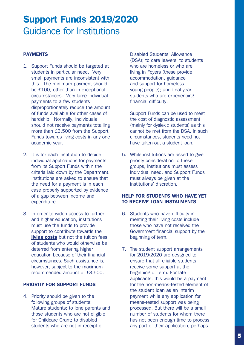#### PAYMENTS

- 1. Support Funds should be targeted at students in particular need. Very small payments are inconsistent with this. The minimum payment should be £100, other than in exceptional circumstances. Very large individual payments to a few students disproportionately reduce the amount of funds available for other cases of hardship. Normally, individuals should not receive payments totalling more than £3,500 from the Support Funds towards living costs in any one academic year.
- 2. It is for each institution to decide individual applications for payments from its Support Funds within the criteria laid down by the Department. Institutions are asked to ensure that the need for a payment is in each case properly supported by evidence of a gap between income and expenditure.
- 3. In order to widen access to further and higher education, institutions must use the funds to provide support to contribute towards the **living costs** but not the tuition fees, of students who would otherwise be deterred from entering higher education because of their financial circumstances. Such assistance is, however, subject to the maximum recommended amount of £3,500.

#### PRIORITY FOR SUPPORT FUNDS

4. Priority should be given to the following groups of students: Mature students; to lone parents and those students who are not eligible for Childcare Grant; to disabled students who are not in receipt of

Disabled Students' Allowance (DSA); to care leavers; to students who are homeless or who are living in Foyers (these provide accommodation, guidance and support for homeless young people); and final year students who are experiencing financial difficulty.

Support Funds can be used to meet the cost of diagnostic assessment (mainly for dyslexic students) as this cannot be met from the DSA. In such circumstances, students need not have taken out a student loan.

5. While institutions are asked to give priority consideration to these groups, institutions must assess individual need, and Support Funds must always be given at the institutions' discretion.

#### HELP FOR STUDENTS WHO HAVE YET TO RECEIVE LOAN INSTALMENTS

- 6. Students who have difficulty in meeting their living costs include those who have not received the Government financial support by the beginning of term.
- 7. The student support arrangements for 2019/2020 are designed to ensure that all eligible students receive some support at the beginning of term. For late applicants, this would be a payment for the non-means-tested element of the student loan as an interim payment while any application for means-tested support was being processed. But there will be a small number of students for whom there has not been enough time to process any part of their application, perhaps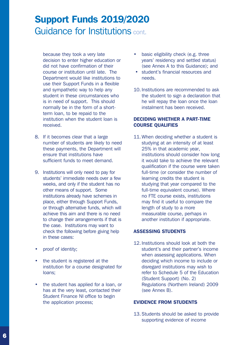because they took a very late decision to enter higher education or did not have confirmation of their course or institution until late. The Department would like institutions to use their Support Funds in a flexible and sympathetic way to help any student in these circumstances who is in need of support. This should normally be in the form of a shortterm loan, to be repaid to the institution when the student loan is received.

- 8. If it becomes clear that a large number of students are likely to need these payments, the Department will ensure that institutions have sufficient funds to meet demand.
- 9. Institutions will only need to pay for students' immediate needs over a few weeks, and only if the student has no other means of support. Some institutions already have schemes in place, either through Support Funds, or through alternative funds, which will achieve this aim and there is no need to change their arrangements if that is the case. Institutions may want to check the following before giving help in these cases:
- proof of identity;
- the student is registered at the institution for a course designated for loans;
- the student has applied for a loan, or has at the very least, contacted their Student Finance NI office to begin the application process;
- basic eligibility check (e.g. three years' residency and settled status) (see Annex A to this Guidance); and
- student's financial resources and needs.
- 10. Institutions are recommended to ask the student to sign a declaration that he will repay the loan once the loan instalment has been received.

#### DECIDING WHETHER A PART-TIME COURSE QUALIFIES

11. When deciding whether a student is studying at an intensity of at least 25% in that academic year, institutions should consider how long it would take to achieve the relevant qualification if the course were taken full-time (or consider the number of learning credits the student is studying that year compared to the full-time equivalent course). Where no FTE course exists, institutions may find it useful to compare the length of study to a more measurable course, perhaps in another institution if appropriate.

#### ASSESSING STUDENTS

12. Institutions should look at both the student's and their partner's income when assessing applications. When deciding which income to include or disregard institutions may wish to refer to Schedule 5 of the Education (Student Support) (No. 2) Regulations (Northern Ireland) 2009 (see Annex B).

#### EVIDENCE FROM STUDENTS

13. Students should be asked to provide supporting evidence of income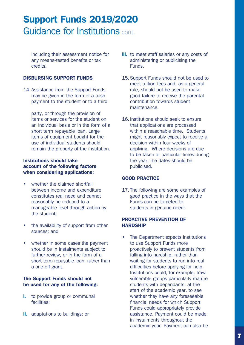including their assessment notice for any means-tested benefits or tax credits.

#### DISBURSING SUPPORT FUNDS

14. Assistance from the Support Funds may be given in the form of a cash payment to the student or to a third

party, or through the provision of items or services for the student on an individual basis or in the form of a short term repayable loan. Large items of equipment bought for the use of individual students should remain the property of the institution.

#### Institutions should take account of the following factors when considering applications:

- whether the claimed shortfall between income and expenditure constitutes real need and cannot reasonably be reduced to a manageable level through action by the student;
- the availability of support from other sources; and
- whether in some cases the payment should be in instalments subject to further review, or in the form of a short-term repayable loan, rather than a one-off grant.

#### The Support Funds should not be used for any of the following:

- i. to provide group or communal facilities;
- ii. adaptations to buildings; or
- **iii.** to meet staff salaries or any costs of administering or publicising the Funds.
- 15. Support Funds should not be used to meet tuition fees and, as a general rule, should not be used to make good failure to receive the parental contribution towards student maintenance.
- 16. Institutions should seek to ensure that applications are processed within a reasonable time. Students might reasonably expect to receive a decision within four weeks of applying. Where decisions are due to be taken at particular times during the year, the dates should be publicised.

#### GOOD PRACTICE

17. The following are some examples of good practice in the ways that the Funds can be targeted to students in genuine need:

#### PROACTIVE PREVENTION OF HARDSHIP

The Department expects institutions to use Support Funds more proactively to prevent students from falling into hardship, rather than waiting for students to run into real difficulties before applying for help. Institutions could, for example, trawl vulnerable groups particularly mature students with dependants, at the start of the academic year, to see whether they have any foreseeable financial needs for which Support Funds could appropriately provide assistance. Payment could be made in instalments throughout the academic year. Payment can also be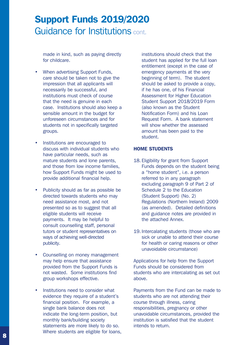made in kind, such as paying directly for childcare.

- When advertising Support Funds, care should be taken not to give the impression that all applicants will necessarily be successful, and institutions must check of course that the need is genuine in each case. Institutions should also keep a sensible amount in the budget for unforeseen circumstances and for students not in specifically targeted groups.
- Institutions are encouraged to discuss with individual students who have particular needs, such as mature students and lone parents, and those from low income families, how Support Funds might be used to provide additional financial help.
- Publicity should as far as possible be directed towards students who may need assistance most, and not presented so as to suggest that all eligible students will receive payments. It may be helpful to consult counselling staff, personal tutors or student representatives on ways of achieving well-directed publicity.
- Counselling on money management may help ensure that assistance provided from the Support Funds is not wasted. Some institutions find group workshops effective.
- Institutions need to consider what evidence they require of a student's financial position. For example, a single bank balance does not indicate the long-term position, but monthly bank/building society statements are more likely to do so. Where students are eligible for loans,

institutions should check that the student has applied for the full loan entitlement (except in the case of emergency payments at the very beginning of term). The student should be asked to provide a copy, if he has one, of his Financial Assessment for Higher Education Student Support 2018/2019 Form (also known as the Student Notification Form) and his Loan Request Form. A bank statement will show whether the assessed amount has been paid to the student.

#### HOME STUDENTS

- 18. Eligibility for grant from Support Funds depends on the student being a "home student", i.e. a person referred to in any paragraph excluding paragraph 9 of Part 2 of Schedule 2 to the Education (Student Support) (No. 2) Regulations (Northern Ireland) 2009 (as amended). Detailed definitions and guidance notes are provided in the attached Annex.
- 19. Intercalating students (those who are sick or unable to attend their course for health or caring reasons or other unavoidable circumstance)

Applications for help from the Support Funds should be considered from students who are intercalating as set out above.

Payments from the Fund can be made to students who are not attending their course through illness, caring responsibilities, pregnancy or other unavoidable circumstances, provided the institution is satisfied that the student intends to return.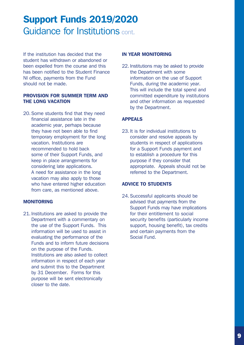If the institution has decided that the student has withdrawn or abandoned or been expelled from the course and this has been notified to the Student Finance NI office, payments from the Fund should not be made.

#### PROVISION FOR SUMMER TERM AND THE LONG VACATION

20. Some students find that they need financial assistance late in the academic year, perhaps because they have not been able to find temporary employment for the long vacation. Institutions are recommended to hold back some of their Support Funds, and keep in place arrangements for considering late applications. A need for assistance in the long vacation may also apply to those who have entered higher education from care, as mentioned above.

#### MONITORING

21. Institutions are asked to provide the Department with a commentary on the use of the Support Funds. This information will be used to assist in evaluating the performance of the Funds and to inform future decisions on the purpose of the Funds. Institutions are also asked to collect information in respect of each year and submit this to the Department by 31 December. Forms for this purpose will be sent electronically closer to the date.

#### IN YEAR MONITORING

22. Institutions may be asked to provide the Department with some information on the use of Support Funds, during the academic year. This will include the total spend and committed expenditure by institutions and other information as requested by the Department.

#### APPEALS

23. It is for individual institutions to consider and resolve appeals by students in respect of applications for a Support Funds payment and to establish a procedure for this purpose if they consider that appropriate. Appeals should not be referred to the Department.

#### ADVICE TO STUDENTS

24. Successful applicants should be advised that payments from the Support Funds may have implications for their entitlement to social security benefits (particularly income support, housing benefit), tax credits and certain payments from the Social Fund.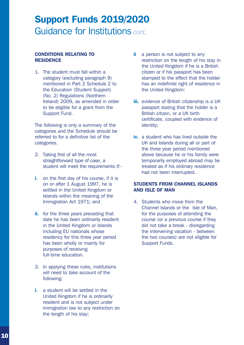#### CONDITIONS RELATING TO **RESIDENCE**

1. The student must fall within a category (excluding paragraph 9) mentioned in Part 2 Schedule 2 to the Education (Student Support) (No. 2) Regulations (Northern Ireland) 2009, as amended in order to be eligible for a grant from the Support Fund.

The following is only a summary of the categories and the Schedule should be referred to for a definitive list of the categories.

- 2. Taking first of all the most straightforward type of case, a student will meet the requirements if:-
- i. on the first day of his course, if it is on or after 1 August 1997, he is settled in the United Kingdom or Islands within the meaning of the Immigration Act 1971; and
- ii. for the three years preceding that date he has been ordinarily resident in the United Kingdom or Islands including EU nationals whose residency for this three year period has been wholly or mainly for purposes of receiving full-time education.
- 3. In applying these rules, institutions will need to take account of the following:
- i. a student will be settled in the United Kingdom if he is ordinarily resident and is not subject under immigration law to any restriction on the length of his stay;
- ii a person is not subject to any restriction on the length of his stay in the United Kingdom if he is a British citizen or if his passport has been stamped to the effect that the holder has an indefinite right of residence in the United Kingdom;
- **iii.** evidence of British citizenship is a UK passport stating that the holder is a British citizen, or a UK birth certificate, coupled with evidence of identity;
- iv. a student who has lived outside the UK and Islands during all or part of the three year period mentioned above because he or his family were temporarily employed abroad may be treated as if his ordinary residence had not been interrupted.

#### STUDENTS FROM CHANNEL ISLANDS AND ISLE OF MAN

4. Students who move from the Channel Islands or the Isle of Man, for the purposes of attending the course (or a previous course if they did not take a break - disregarding the intervening vacation - between the two courses) are not eligible for Support Funds.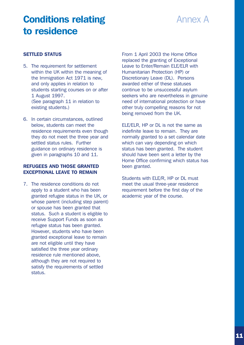### Conditions relating to residence

### Annex A

#### SETTLED STATUS

- 5. The requirement for settlement within the UK within the meaning of the Immigration Act 1971 is new, and only applies in relation to students starting courses on or after 1 August 1997. (See paragraph 11 in relation to existing students.)
- 6. In certain circumstances, outlined below, students can meet the residence requirements even though they do not meet the three year and settled status rules. Further guidance on ordinary residence is given in paragraphs 10 and 11.

#### REFUGEES AND THOSE GRANTED EXCEPTIONAL LEAVE TO REMAIN

7. The residence conditions do not apply to a student who has been granted refugee status in the UK, or whose parent (including step parent) or spouse has been granted that status. Such a student is eligible to receive Support Funds as soon as refugee status has been granted. However, students who have been granted exceptional leave to remain are not eligible until they have satisfied the three year ordinary residence rule mentioned above, although they are not required to satisfy the requirements of settled status.

From 1 April 2003 the Home Office replaced the granting of Exceptional Leave to Enter/Remain ELE/ELR with Humanitarian Protection (HP) or Discretionary Leave (DL). Persons awarded either of these statuses continue to be unsuccessful asylum seekers who are nevertheless in genuine need of international protection or have other truly compelling reasons for not being removed from the UK.

ELE/ELR, HP or DL is not the same as indefinite leave to remain. They are normally granted to a set calendar date which can vary depending on which status has been granted. The student should have been sent a letter by the Home Office confirming which status has been granted.

Students with ELE/R, HP or DL must meet the usual three-year residence requirement before the first day of the academic year of the course.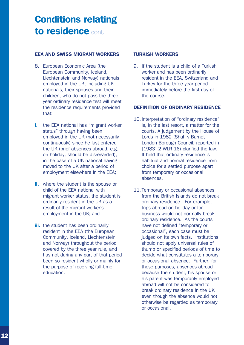### Conditions relating to residence cont.

#### EEA AND SWISS MIGRANT WORKERS

- 8. European Economic Area (the European Community, Iceland, Liechtenstein and Norway) nationals employed in the UK, including UK nationals, their spouses and their children, who do not pass the three year ordinary residence test will meet the residence requirements provided that:
- i. the EEA national has "migrant worker status" through having been employed in the UK (not necessarily continuously) since he last entered the UK (brief absences abroad, e.g. on holiday, should be disregarded); in the case of a UK national having moved to the UK after a period of employment elsewhere in the EEA;
- **ii.** where the student is the spouse or child of the EEA national with migrant worker status, the student is ordinarily resident in the UK as a result of the migrant worker's employment in the UK; and
- **iii.** the student has been ordinarily resident in the EEA (the European Community, Iceland, Liechtenstein and Norway) throughout the period covered by the three year rule, and has not during any part of that period been so resident wholly or mainly for the purpose of receiving full-time education.

#### TURKISH WORKERS

9. If the student is a child of a Turkish worker and has been ordinarily resident in the EEA, Switzerland and Turkey for the three year period immediately before the first day of the course.

#### DEFINITION OF ORDINARY RESIDENCE

- 10. Interpretation of "ordinary residence" is, in the last resort, a matter for the courts. A judgement by the House of Lords in 1982 (Shah v Barnet London Borough Council, reported in [1983] 2 WLR 16) clarified the law. It held that ordinary residence is habitual and normal residence from choice for a settled purpose apart from temporary or occasional absences.
- 11. Temporary or occasional absences from the British Islands do not break ordinary residence. For example, trips abroad on holiday or for business would not normally break ordinary residence. As the courts have not defined "temporary or occasional", each case must be judged on its own facts. Institutions should not apply universal rules of thumb or specified periods of time to decide what constitutes a temporary or occasional absence. Further, for these purposes, absences abroad because the student, his spouse or his parent was temporarily employed abroad will not be considered to break ordinary residence in the UK even though the absence would not otherwise be regarded as temporary or occasional.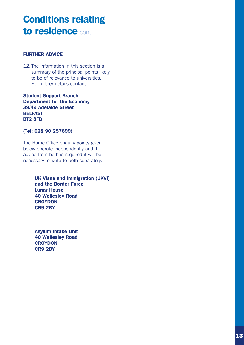### Conditions relating to residence cont.

#### FURTHER ADVICE

12. The information in this section is a summary of the principal points likely to be of relevance to universities. For further details contact:

Student Support Branch Department for the Economy 39/49 Adelaide Street BELFAST BT2 8FD

#### (Tel: 028 90 257699)

The Home Office enquiry points given below operate independently and if advice from both is required it will be necessary to write to both separately.

> UK Visas and Immigration (UKVI) and the Border Force Lunar House 40 Wellesley Road **CROYDON** CR9 2BY

Asylum Intake Unit 40 Wellesley Road **CROYDON** CR9 2BY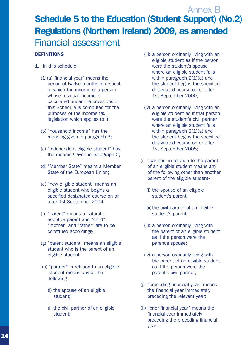#### **DEFINITIONS**

- 1. In this schedule:-
	- $(1)(a)$ "financial year" means the period of twelve months in respect of which the income of a person whose residual income is calculated under the provisions of this Schedule is computed for the purposes of the income tax legislation which applies to it;
	- (b) "household income" has the meaning given in paragraph 3;
	- (c) "independent eligible student" has the meaning given in paragraph 2;
	- (d) "Member State" means a Member State of the European Union;
	- (e) "new eligible student" means an eligible student who begins a specified designated course on or after 1st September 2004;
	- (f) "parent" means a natural or adoptive parent and "child", "mother" and "father" are to be construed accordingly;
	- (g) "parent student" means an eligible student who is the parent of an eligible student;
	- (h) "partner" in relation to an eligible student means any of the following -
		- (i) the spouse of an eligible student;
		- (ii)the civil partner of an eligible student;
- (iii) a person ordinarily living with an eligible student as if the person were the student's spouse where an eligible student falls within paragraph  $2(1)(a)$  and the student begins the specified designated course on or after 1st September 2000;
- (iv) a person ordinarily living with an eligible student as if that person were the student's civil partner where an eligible student falls within paragraph  $2(1)(a)$  and the student begins the specified designated course on or after 1st September 2005;
- (i) "partner" in relation to the parent of an eligible student means any of the following other than another parent of the eligible student-
	- (i) the spouse of an eligible student's parent;
	- (ii) the civil partner of an eligible student's parent;
	- (iii) a person ordinarily living with the parent of an eligible student as if the person were the parent's spouse;
	- (iv) a person ordinarily living with the parent of an eligible student as if the person were the parent's civil partner;
- (j) "preceding financial year" means the financial year immediately preceding the relevant year;
- (k) "prior financial year" means the financial year immediately preceding the preceding financial year;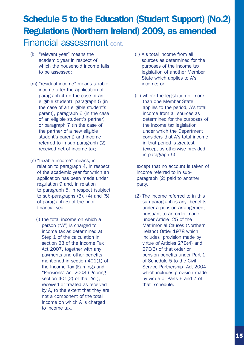- (l) "relevant year" means the academic year in respect of which the household income falls to be assessed;
- (m) "residual income" means taxable income after the application of paragraph 4 (in the case of an eligible student), paragraph 5 (in the case of an eligible student's parent), paragraph 6 (in the case of an eligible student's partner) or paragraph 7 (in the case of the partner of a new eligible student's parent) and income referred to in sub-paragraph (2) received net of income tax;
- (n) "taxable income" means, in relation to paragraph 4, in respect of the academic year for which an application has been made under regulation 9 and, in relation to paragraph 5, in respect (subject to sub-paragraphs (3), (4) and (5) of paragraph 5) of the prior financial year –
	- (i) the total income on which a person ("A") is charged to income tax as determined at Step 1 of the calculation in section 23 of the Income Tax Act 2007, together with any payments and other benefits mentioned in section 401(1) of the Income Tax (Earnings and "Pensions" Act 2003 (ignoring section 401(2) of that Act), received or treated as received by A, to the extent that they are not a component of the total income on which A is charged to income tax.
- (ii) A's total income from all sources as determined for the purposes of the income tax legislation of another Member State which applies to A's income; or
- (iii) where the legislation of more than one Member State applies to the period, A's total income from all sources as determined for the purposes of the income tax legislation under which the Department considers that A's total income in that period is greatest (except as otherwise provided in paragraph 5).

 except that no account is taken of income referred to in subparagraph (2) paid to another party.

(2) The income referred to in this sub-paragraph is any benefits under a pension arrangement pursuant to an order made under Article 25 of the Matrimonial Causes (Northern Ireland) Order 1978 which includes provision made by virtue of Articles 27B(4) and 27E(3) of that order or pension benefits under Part 1 of Schedule 5 to the Civil Service Partnership Act 2004 which includes provision made by virtue of Parts 6 and 7 of that schedule.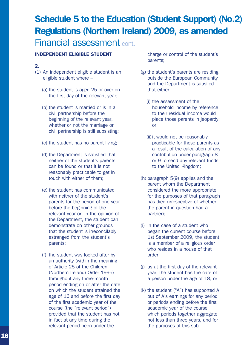# Schedule 5 to the Education (Student Support) (No.2) Regulations (Northern Ireland) 2009, as amended

### Financial assessment cont.

#### INDEPENDENT ELIGIBLE STUDENT

#### 2.

- (1) An independent eligible student is an eligible student where –
	- (a) the student is aged 25 or over on the first day of the relevant year;
	- (b) the student is married or is in a civil partnership before the beginning of the relevant year, whether or not the marriage or civil partnership is still subsisting;
	- (c) the student has no parent living;
	- (d) the Department is satisfied that neither of the student's parents can be found or that it is not reasonably practicable to get in touch with either of them;
	- (e) the student has communicated with neither of the student's parents for the period of one year before the beginning of the relevant year or, in the opinion of the Department, the student can demonstrate on other grounds that the student is irreconcilably estranged from the student's parents;
	- (f) the student was looked after by an authority (within the meaning of Article 25 of the Children (Northern Ireland) Order 1995) throughout any three-month period ending on or after the date on which the student attained the age of 16 and before the first day of the first academic year of the course (the "relevant period") provided that the student has not in fact at any time during the relevant period been under the

charge or control of the student's parents;

- (g) the student's parents are residing outside the European Community and the Department is satisfied that either –
	- (i) the assessment of the household income by reference to their residual income would place those parents in jeopardy; or
	- (ii) it would not be reasonably practicable for those parents as a result of the calculation of any contribution under paragraph 8 or 9 to send any relevant funds to the United Kingdom;
- (h) paragraph 5(9) applies and the parent whom the Department considered the more appropriate for the purposes of that paragraph has died (irrespective of whether the parent in question had a partner);
- (i) in the case of a student who began the current course before 1st September 2009, the student is a member of a religious order who resides in a house of that order;
- (j) as at the first day of the relevant year, the student has the care of a person under the age of 18; or
- (k) the student ("A") has supported A out of A's earnings for any period or periods ending before the first academic year of the course which periods together aggregate not less than three years, and for the purposes of this sub-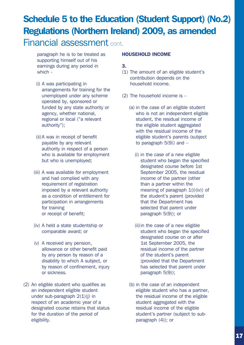paragraph he is to be treated as supporting himself out of his earnings during any period in which -

- (i) A was participating in arrangements for training for the unemployed under any scheme operated by, sponsored or funded by any state authority or agency, whether national, regional or local ("a relevant authority");
- (ii)A was in receipt of benefit payable by any relevant authority in respect of a person who is available for employment but who is unemployed;
- (iii) A was available for employment and had complied with any requirement of registration imposed by a relevant authority as a condition of entitlement for participation in arrangements for training or receipt of benefit;
- (iv) A held a state studentship or comparable award; or
- (v) A received any pension, allowance or other benefit paid by any person by reason of a disability to which A subject, or by reason of confinement, injury or sickness.
- (2) An eligible student who qualifies as an independent eligible student under sub-paragraph 2(1)(j) in respect of an academic year of a designated course retains that status for the duration of the period of eligibility.

#### HOUSEHOLD INCOME

3.

- (1) The amount of an eligible student's contribution depends on the household income.
- (2) The household income is
	- (a) in the case of an eligible student who is not an independent eligible student, the residual income of the eligible student aggregated with the residual income of the eligible student's parents (subject to paragraph  $5(9)$ ) and  $-$ 
		- (i) in the case of a new eligible student who began the specified designated course before 1st September 2005, the residual income of the partner (other than a partner within the meaning of paragraph  $1(i)(iv)$  of the student's parent (provided that the Department has selected that parent under paragraph 5(9)); or
		- (ii)in the case of a new eligible student who began the specified designated course on or after 1st September 2005, the residual income of the partner of the student's parent (provided that the Department has selected that parent under paragraph 5(9));
	- (b) in the case of an independent eligible student who has a partner, the residual income of the eligible student aggregated with the residual income of the eligible student's partner (subject to subparagraph (4)); or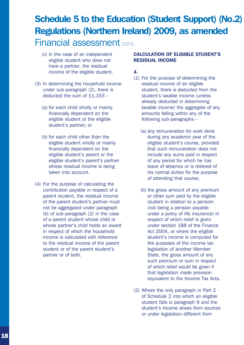- (c) in the case of an independent eligible student who does not have a partner, the residual income of the eligible student.
- (3) In determining the household income under sub-paragraph (2), there is deducted the sum of £1,153 –
	- (a) for each child wholly or mainly financially dependent on the eligible student or the eligible student's partner; or
	- (b) for each child other than the eligible student wholly or mainly financially dependent on the eligible student's parent or the eligible student's parent's partner whose residual income is being taken into account.
- (4) For the purpose of calculating the contribution payable in respect of a parent student, the residual income of the parent student's partner must not be aggregated under paragraph (b) of sub-paragraph (2) in the case of a parent student whose child or whose partner's child holds an award in respect of which the household income is calculated with reference to the residual income of the parent student or of the parent student's partner or of both.

#### CALCULATION OF ELIGIBLE STUDENT'S RESIDUAL INCOME

4.

- (1) For the purpose of determining the residual income of an eligible student, there is deducted from the student's taxable income (unless already deducted in determining taxable income) the aggregate of any amounts falling within any of the following sub-paragraphs –
	- (a) any remuneration for work done during any academic year of the eligible student's course, provided that such remuneration does not include any sums paid in respect of any period for which he has leave of absence or is relieved of his normal duties for the purpose of attending that course;
	- (b) the gross amount of any premium or other sum paid by the eligible student in relation to a pension (not being a pension payable under a policy of life insurance) in respect of which relief is given under section 188 of the Finance Act 2004, or where the eligible student's income is computed for the purposes of the income tax legislation of another Member State, the gross amount of any such premium or sum in respect of which relief would be given if that legislation made provision equivalent to the Income Tax Acts.
- (2) Where the only paragraph in Part 2 of Schedule 2 into which an eligible student falls is paragraph 9 and the student's income arises from sources or under legislation different from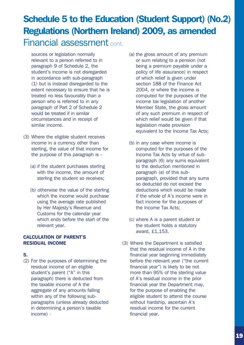sources or legislation normally relevant to a person referred to in paragraph 9 of Schedule 2, the student's income is not disregarded in accordance with sub-paragraph (1) but is instead disregarded to the extent necessary to ensure that he is treated no less favourably than a person who is referred to in any paragraph of Part 2 of Schedule 2 would be treated if in similar circumstances and in receipt of similar income.

- (3) Where the eligible student receives income in a currency other than sterling, the value of that income for the purpose of this paragraph is  $-$ 
	- (a) if the student purchases sterling with the income, the amount of sterling the student so receives;
	- (b) otherwise the value of the sterling which the income would purchase using the average rate published by Her Majesty's Revenue and Customs for the calendar year which ends before the start of the relevant year.

#### CALCULATION OF PARENT'S RESIDUAL INCOME

#### 5.

(2) For the purposes of determining the residual income of an eligible student's parent ("A" in this paragraph) there is deducted from the taxable income of A the aggregate of any amounts falling within any of the following subparagraphs (unless already deducted in determining a person's taxable income) -

- (a) the gross amount of any premium or sum relating to a pension (not being a premium payable under a policy of life assurance) in respect of which relief is given under section 188 of the Finance Act 2004, or where the income is computed for the purposes of the income tax legislation of another Member State, the gross amount of any such premium in respect of which relief would be given if that legislation made provision equivalent to the Income Tax Acts;
- (b) in any case where income is computed for the purposes of the Income Tax Acts by virtue of subparagraph (6) any sums equivalent to the deduction mentioned in paragraph (a) of this subparagraph, provided that any sums so deducted do not exceed the deductions which would be made if the whole of A's income were in fact income for the purposes of the Income Tax Acts;
- (c) where A is a parent student or the student holds a statutory award, £1,153.
- (3) Where the Department is satisfied that the residual income of A in the financial year beginning immediately before the relevant year ("the current financial year") is likely to be not more than 95% of the sterling value of A's residual income in the prior financial year the Department may, for the purpose of enabling the eligible student to attend the course without hardship, ascertain A's residual income for the current financial year.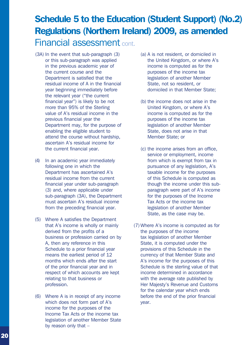- (3A) In the event that sub-paragraph (3) or this sub-paragraph was applied in the previous academic year of the current course and the Department is satisfied that the residual income of A in the financial year beginning immediately before the relevant year ("the current financial year") is likely to be not more than 95% of the Sterling value of A's residual income in the previous financial year the Department may, for the purpose of enabling the eligible student to attend the course without hardship, ascertain A's residual income for the current financial year.
- (4) In an academic year immediately following one in which the Department has ascertained A's residual income from the current financial year under sub-paragraph (3) and, where applicable under sub-paragraph (3A), the Department must ascertain A's residual income from the preceding financial year.
- (5) Where A satisfies the Department that A's income is wholly or mainly derived from the profits of a business or profession carried on by A, then any reference in this Schedule to a prior financial year means the earliest period of 12 months which ends after the start of the prior financial year and in respect of which accounts are kept relating to that business or profession.
- (6) Where A is in receipt of any income which does not form part of A's income for the purposes of the Income Tax Acts or the income tax legislation of another Member State by reason only that –
- (a) A is not resident, or domiciled in the United Kingdom, or where A's income is computed as for the purposes of the income tax legislation of another Member State, not so resident, or domiciled in that Member State;
- (b) the income does not arise in the United Kingdom, or where A's income is computed as for the purposes of the income tax legislation of another Member State, does not arise in that Member State; or
- (c) the income arises from an office, service or employment, income from which is exempt from tax in pursuance of any legislation, A's taxable income for the purposes of this Schedule is computed as though the income under this subparagraph were part of A's income for the purposes of the Income Tax Acts or the income tax legislation of another Member State, as the case may be.
- (7) Where A's income is computed as for the purposes of the income tax legislation of another Member State, it is computed under the provisions of this Schedule in the currency of that Member State and A's income for the purposes of this Schedule is the sterling value of that income determined in accordance with the average rate published by Her Majesty's Revenue and Customs for the calendar year which ends before the end of the prior financial year.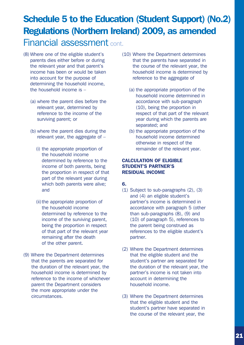- (8) Where one of the eligible student's parents dies either before or during the relevant year and that parent's income has been or would be taken into account for the purpose of determining the household income, the household income is –
	- (a) where the parent dies before the relevant year, determined by reference to the income of the surviving parent; or
	- (b) where the parent dies during the relevant year, the aggregate of –
		- (i) the appropriate proportion of the household income determined by reference to the income of both parents, being the proportion in respect of that part of the relevant year during which both parents were alive; and
		- (ii)the appropriate proportion of the household income determined by reference to the income of the surviving parent, being the proportion in respect of that part of the relevant year remaining after the death of the other parent.
- (9) Where the Department determines that the parents are separated for the duration of the relevant year, the household income is determined by reference to the income of whichever parent the Department considers the more appropriate under the circumstances.
- (10) Where the Department determines that the parents have separated in the course of the relevant year, the household income is determined by reference to the aggregate of
	- (a) the appropriate proportion of the household income determined in accordance with sub-paragraph (10), being the proportion in respect of that part of the relevant year during which the parents are separated; and
	- (b) the appropriate proportion of the household income determined otherwise in respect of the remainder of the relevant year.

#### CALCULATION OF ELIGIBLE STUDENT'S PARTNER'S RESIDUAL INCOME

#### 6.

- (1) Subject to sub-paragraphs (2), (3) and (4) an eligible student's partner's income is determined in accordance with paragraph 5 (other than sub-paragraphs (8), (9) and (10) of paragraph 5), references to the parent being construed as references to the eligible student's partner.
- (2) Where the Department determines that the eligible student and the student's partner are separated for the duration of the relevant year, the partner's income is not taken into account in determining the household income.
- (3) Where the Department determines that the eligible student and the student's partner have separated in the course of the relevant year, the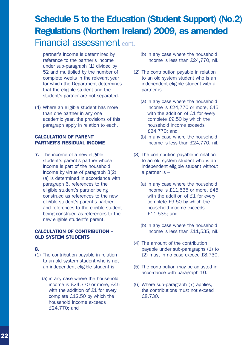partner's income is determined by reference to the partner's income under sub-paragraph (1) divided by 52 and multiplied by the number of complete weeks in the relevant year for which the Department determines that the eligible student and the student's partner are not separated.

(4) Where an eligible student has more than one partner in any one academic year, the provisions of this paragraph apply in relation to each.

#### CALCULATION OF PARENT' PARTNER'S RESIDUAL INCOME

**7.** The income of a new eligible student's parent's partner whose income is part of the household income by virtue of paragraph 3(2) (a) is determined in accordance with paragraph 6, references to the eligible student's partner being construed as references to the new eligible student's parent's partner, and references to the eligible student being construed as references to the new eligible student's parent.

#### CALCULATION OF CONTRIBUTION – OLD SYSTEM STUDENTS

#### 8.

- (1) The contribution payable in relation to an old system student who is not an independent eligible student is –
	- (a) in any case where the household income is £24,770 or more, £45 with the addition of £1 for every complete £12.50 by which the household income exceeds £24,770; and
- (b) in any case where the household income is less than £24,770, nil.
- (2) The contribution payable in relation to an old system student who is an independent eligible student with a partner is –
	- (a) in any case where the household income is £24,770 or more, £45 with the addition of £1 for every complete £9.50 by which the household income exceeds £24,770; and
	- (b) in any case where the household income is less than £24,770, nil.
- (3) The contribution payable in relation to an old system student who is an independent eligible student without a partner is –
	- (a) in any case where the household income is £11,535 or more, £45 with the addition of £1 for every complete £9.50 by which the household income exceeds £11,535; and
	- (b) in any case where the household income is less than £11,535, nil.
- (4) The amount of the contribution payable under sub-paragraphs (1) to (2) must in no case exceed £8,730.
- (5) The contribution may be adjusted in accordance with paragraph 10.
- (6) Where sub-paragraph (7) applies, the contributions must not exceed £8,730.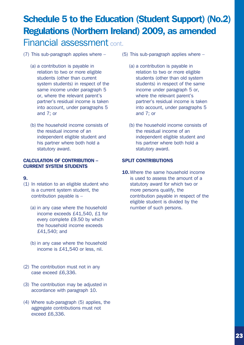- (7) This sub-paragraph applies where
	- (a) a contribution is payable in relation to two or more eligible students (other than current system students) in respect of the same income under paragraph 5 or, where the relevant parent's partner's residual income is taken into account, under paragraphs 5 and 7; or
	- (b) the household income consists of the residual income of an independent eligible student and his partner where both hold a statutory award.

#### CALCULATION OF CONTRIBUTION – CURRENT SYSTEM STUDENTS

#### 9.

- (1) In relation to an eligible student who is a current system student, the contribution payable is –
	- (a) in any case where the household income exceeds £41,540, £1 for every complete £9.50 by which the household income exceeds £41,540; and
	- (b) in any case where the household income is £41,540 or less, nil.
- (2) The contribution must not in any case exceed £6,336.
- (3) The contribution may be adjusted in accordance with paragraph 10.
- (4) Where sub-paragraph (5) applies, the aggregate contributions must not exceed £6,336.
- (5) This sub-paragraph applies where
	- (a) a contribution is payable in relation to two or more eligible students (other than old system students) in respect of the same income under paragraph 5 or, where the relevant parent's partner's residual income is taken into account, under paragraphs 5 and 7; or
	- (b) the household income consists of the residual income of an independent eligible student and his partner where both hold a statutory award.

#### SPLIT CONTRIBUTIONS

10. Where the same household income is used to assess the amount of a statutory award for which two or more persons qualify, the contribution payable in respect of the eligible student is divided by the number of such persons.